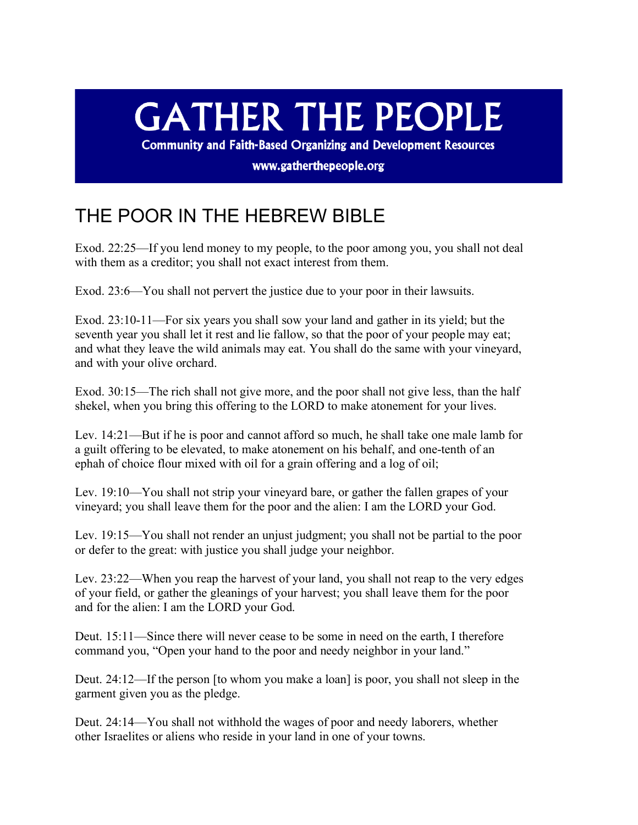## **GATHER THE PEOPLE**

**Community and Faith-Based Organizing and Development Resources** 

www.gatherthepeople.org

## THE POOR IN THE HEBREW BIBLE

Exod. 22:25—If you lend money to my people, to the poor among you, you shall not deal with them as a creditor; you shall not exact interest from them.

Exod. 23:6—You shall not pervert the justice due to your poor in their lawsuits.

Exod. 23:10-11—For six years you shall sow your land and gather in its yield; but the seventh year you shall let it rest and lie fallow, so that the poor of your people may eat; and what they leave the wild animals may eat. You shall do the same with your vineyard, and with your olive orchard.

Exod. 30:15—The rich shall not give more, and the poor shall not give less, than the half shekel, when you bring this offering to the LORD to make atonement for your lives.

Lev. 14:21—But if he is poor and cannot afford so much, he shall take one male lamb for a guilt offering to be elevated, to make atonement on his behalf, and one-tenth of an ephah of choice flour mixed with oil for a grain offering and a log of oil;

Lev. 19:10—You shall not strip your vineyard bare, or gather the fallen grapes of your vineyard; you shall leave them for the poor and the alien: I am the LORD your God.

Lev. 19:15—You shall not render an unjust judgment; you shall not be partial to the poor or defer to the great: with justice you shall judge your neighbor.

Lev. 23:22—When you reap the harvest of your land, you shall not reap to the very edges of your field, or gather the gleanings of your harvest; you shall leave them for the poor and for the alien: I am the LORD your God.

Deut. 15:11—Since there will never cease to be some in need on the earth, I therefore command you, "Open your hand to the poor and needy neighbor in your land."

Deut. 24:12—If the person [to whom you make a loan] is poor, you shall not sleep in the garment given you as the pledge.

Deut. 24:14—You shall not withhold the wages of poor and needy laborers, whether other Israelites or aliens who reside in your land in one of your towns.